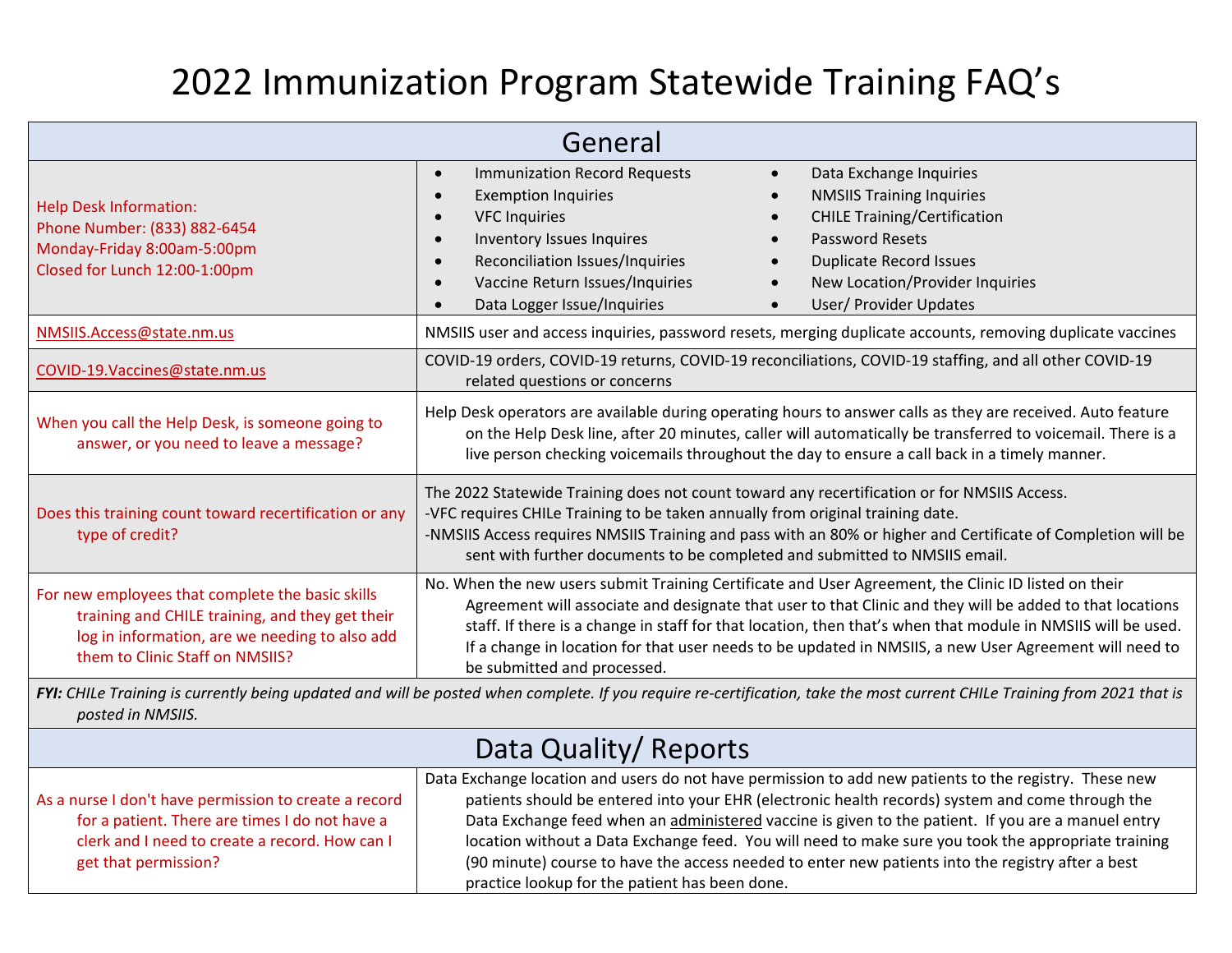## 2022 Immunization Program Statewide Training FAQ's

| General                                                                                                                                                                                       |                                                                                                                                                                                                                                                                                                                                                                                                                                                                                                                |  |  |  |
|-----------------------------------------------------------------------------------------------------------------------------------------------------------------------------------------------|----------------------------------------------------------------------------------------------------------------------------------------------------------------------------------------------------------------------------------------------------------------------------------------------------------------------------------------------------------------------------------------------------------------------------------------------------------------------------------------------------------------|--|--|--|
| <b>Help Desk Information:</b><br>Phone Number: (833) 882-6454<br>Monday-Friday 8:00am-5:00pm<br>Closed for Lunch 12:00-1:00pm                                                                 | <b>Immunization Record Requests</b><br>Data Exchange Inquiries<br>$\bullet$<br>$\bullet$<br><b>Exemption Inquiries</b><br><b>NMSIIS Training Inquiries</b><br><b>CHILE Training/Certification</b><br><b>VFC Inquiries</b><br>Inventory Issues Inquires<br><b>Password Resets</b><br>$\bullet$<br>Reconciliation Issues/Inquiries<br><b>Duplicate Record Issues</b><br>Vaccine Return Issues/Inquiries<br>New Location/Provider Inquiries<br>$\bullet$<br>Data Logger Issue/Inquiries<br>User/ Provider Updates |  |  |  |
| NMSIIS.Access@state.nm.us                                                                                                                                                                     | NMSIIS user and access inquiries, password resets, merging duplicate accounts, removing duplicate vaccines                                                                                                                                                                                                                                                                                                                                                                                                     |  |  |  |
| COVID-19.Vaccines@state.nm.us                                                                                                                                                                 | COVID-19 orders, COVID-19 returns, COVID-19 reconciliations, COVID-19 staffing, and all other COVID-19<br>related questions or concerns                                                                                                                                                                                                                                                                                                                                                                        |  |  |  |
| When you call the Help Desk, is someone going to<br>answer, or you need to leave a message?                                                                                                   | Help Desk operators are available during operating hours to answer calls as they are received. Auto feature<br>on the Help Desk line, after 20 minutes, caller will automatically be transferred to voicemail. There is a<br>live person checking voicemails throughout the day to ensure a call back in a timely manner.                                                                                                                                                                                      |  |  |  |
| Does this training count toward recertification or any<br>type of credit?                                                                                                                     | The 2022 Statewide Training does not count toward any recertification or for NMSIIS Access.<br>-VFC requires CHILe Training to be taken annually from original training date.<br>-NMSIIS Access requires NMSIIS Training and pass with an 80% or higher and Certificate of Completion will be<br>sent with further documents to be completed and submitted to NMSIIS email.                                                                                                                                    |  |  |  |
| For new employees that complete the basic skills<br>training and CHILE training, and they get their<br>log in information, are we needing to also add<br>them to Clinic Staff on NMSIIS?      | No. When the new users submit Training Certificate and User Agreement, the Clinic ID listed on their<br>Agreement will associate and designate that user to that Clinic and they will be added to that locations<br>staff. If there is a change in staff for that location, then that's when that module in NMSIIS will be used.<br>If a change in location for that user needs to be updated in NMSIIS, a new User Agreement will need to<br>be submitted and processed.                                      |  |  |  |
| FYI: CHILe Training is currently being updated and will be posted when complete. If you require re-certification, take the most current CHILe Training from 2021 that is<br>posted in NMSIIS. |                                                                                                                                                                                                                                                                                                                                                                                                                                                                                                                |  |  |  |
| Data Quality/ Reports                                                                                                                                                                         |                                                                                                                                                                                                                                                                                                                                                                                                                                                                                                                |  |  |  |
| لمنتمط للأسماء الممعنين مرمية                                                                                                                                                                 | Data Exchange location and users do not have permission to add new patients to the registry. These new<br>astinate alem la lega antoned into cours FUD (alemnaio legalth nonough) quotone and come through the                                                                                                                                                                                                                                                                                                 |  |  |  |

As a nurse I don't have permission to create a record for a patient. There are times I do not have a clerk and I need to create a record. How can I get that permission?

patients should be entered into your EHR (electronic health records) system and come through the Data Exchange feed when an administered vaccine is given to the patient. If you are a manuel entry location without a Data Exchange feed. You will need to make sure you took the appropriate training (90 minute) course to have the access needed to enter new patients into the registry after a best practice lookup for the patient has been done.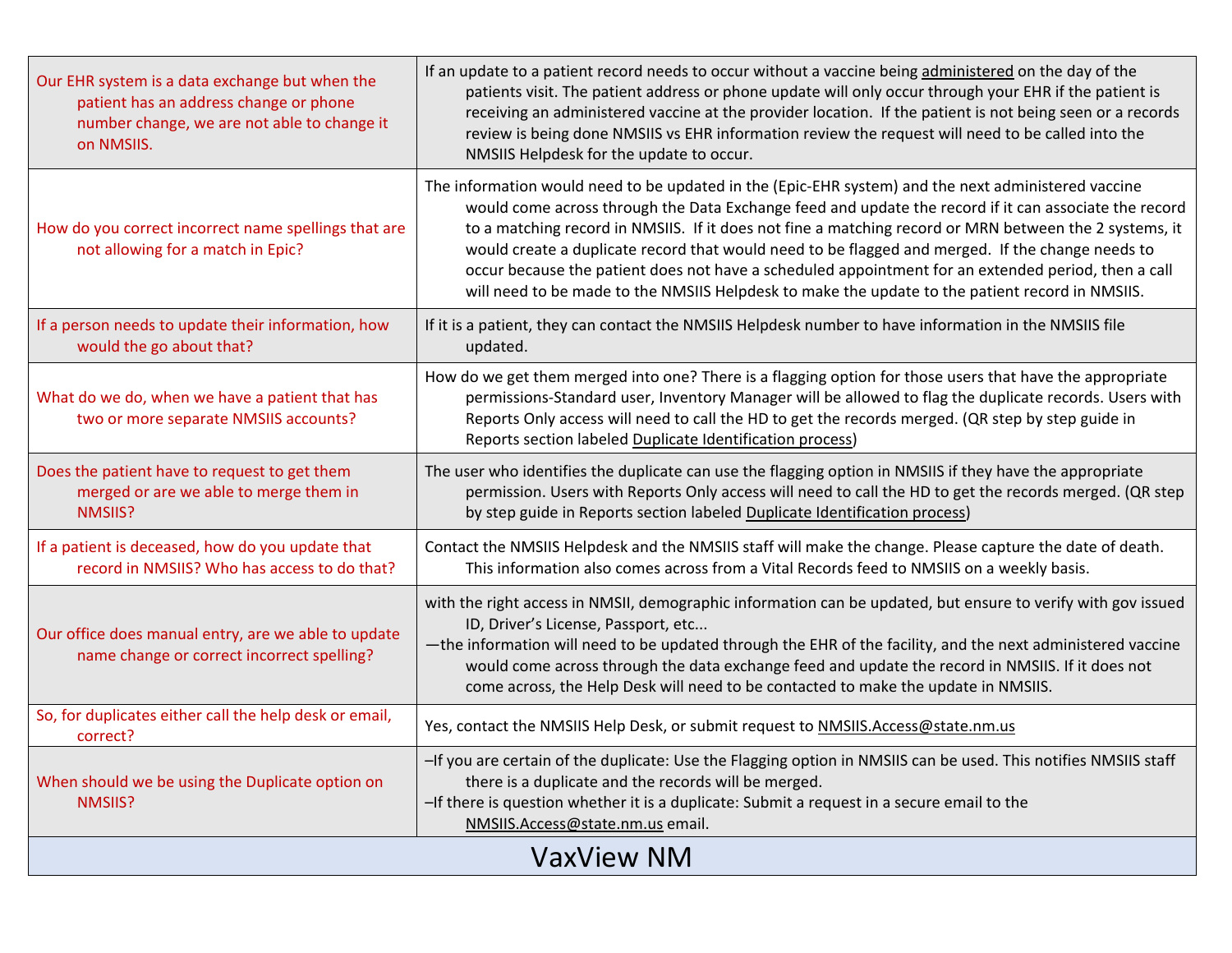| Our EHR system is a data exchange but when the<br>patient has an address change or phone<br>number change, we are not able to change it<br>on NMSIIS. | If an update to a patient record needs to occur without a vaccine being administered on the day of the<br>patients visit. The patient address or phone update will only occur through your EHR if the patient is<br>receiving an administered vaccine at the provider location. If the patient is not being seen or a records<br>review is being done NMSIIS vs EHR information review the request will need to be called into the<br>NMSIIS Helpdesk for the update to occur.                                                                                                                                                       |  |  |
|-------------------------------------------------------------------------------------------------------------------------------------------------------|--------------------------------------------------------------------------------------------------------------------------------------------------------------------------------------------------------------------------------------------------------------------------------------------------------------------------------------------------------------------------------------------------------------------------------------------------------------------------------------------------------------------------------------------------------------------------------------------------------------------------------------|--|--|
| How do you correct incorrect name spellings that are<br>not allowing for a match in Epic?                                                             | The information would need to be updated in the (Epic-EHR system) and the next administered vaccine<br>would come across through the Data Exchange feed and update the record if it can associate the record<br>to a matching record in NMSIIS. If it does not fine a matching record or MRN between the 2 systems, it<br>would create a duplicate record that would need to be flagged and merged. If the change needs to<br>occur because the patient does not have a scheduled appointment for an extended period, then a call<br>will need to be made to the NMSIIS Helpdesk to make the update to the patient record in NMSIIS. |  |  |
| If a person needs to update their information, how<br>would the go about that?                                                                        | If it is a patient, they can contact the NMSIIS Helpdesk number to have information in the NMSIIS file<br>updated.                                                                                                                                                                                                                                                                                                                                                                                                                                                                                                                   |  |  |
| What do we do, when we have a patient that has<br>two or more separate NMSIIS accounts?                                                               | How do we get them merged into one? There is a flagging option for those users that have the appropriate<br>permissions-Standard user, Inventory Manager will be allowed to flag the duplicate records. Users with<br>Reports Only access will need to call the HD to get the records merged. (QR step by step guide in<br>Reports section labeled Duplicate Identification process)                                                                                                                                                                                                                                                 |  |  |
| Does the patient have to request to get them<br>merged or are we able to merge them in<br>NMSIIS?                                                     | The user who identifies the duplicate can use the flagging option in NMSIIS if they have the appropriate<br>permission. Users with Reports Only access will need to call the HD to get the records merged. (QR step<br>by step guide in Reports section labeled Duplicate Identification process)                                                                                                                                                                                                                                                                                                                                    |  |  |
| If a patient is deceased, how do you update that<br>record in NMSIIS? Who has access to do that?                                                      | Contact the NMSIIS Helpdesk and the NMSIIS staff will make the change. Please capture the date of death.<br>This information also comes across from a Vital Records feed to NMSIIS on a weekly basis.                                                                                                                                                                                                                                                                                                                                                                                                                                |  |  |
| Our office does manual entry, are we able to update<br>name change or correct incorrect spelling?                                                     | with the right access in NMSII, demographic information can be updated, but ensure to verify with gov issued<br>ID, Driver's License, Passport, etc<br>-the information will need to be updated through the EHR of the facility, and the next administered vaccine<br>would come across through the data exchange feed and update the record in NMSIIS. If it does not<br>come across, the Help Desk will need to be contacted to make the update in NMSIIS.                                                                                                                                                                         |  |  |
| So, for duplicates either call the help desk or email,<br>correct?                                                                                    | Yes, contact the NMSIIS Help Desk, or submit request to NMSIIS.Access@state.nm.us                                                                                                                                                                                                                                                                                                                                                                                                                                                                                                                                                    |  |  |
| When should we be using the Duplicate option on<br>NMSIIS?                                                                                            | -If you are certain of the duplicate: Use the Flagging option in NMSIIS can be used. This notifies NMSIIS staff<br>there is a duplicate and the records will be merged.<br>-If there is question whether it is a duplicate: Submit a request in a secure email to the<br>NMSIIS.Access@state.nm.us email.                                                                                                                                                                                                                                                                                                                            |  |  |
| <b>VaxView NM</b>                                                                                                                                     |                                                                                                                                                                                                                                                                                                                                                                                                                                                                                                                                                                                                                                      |  |  |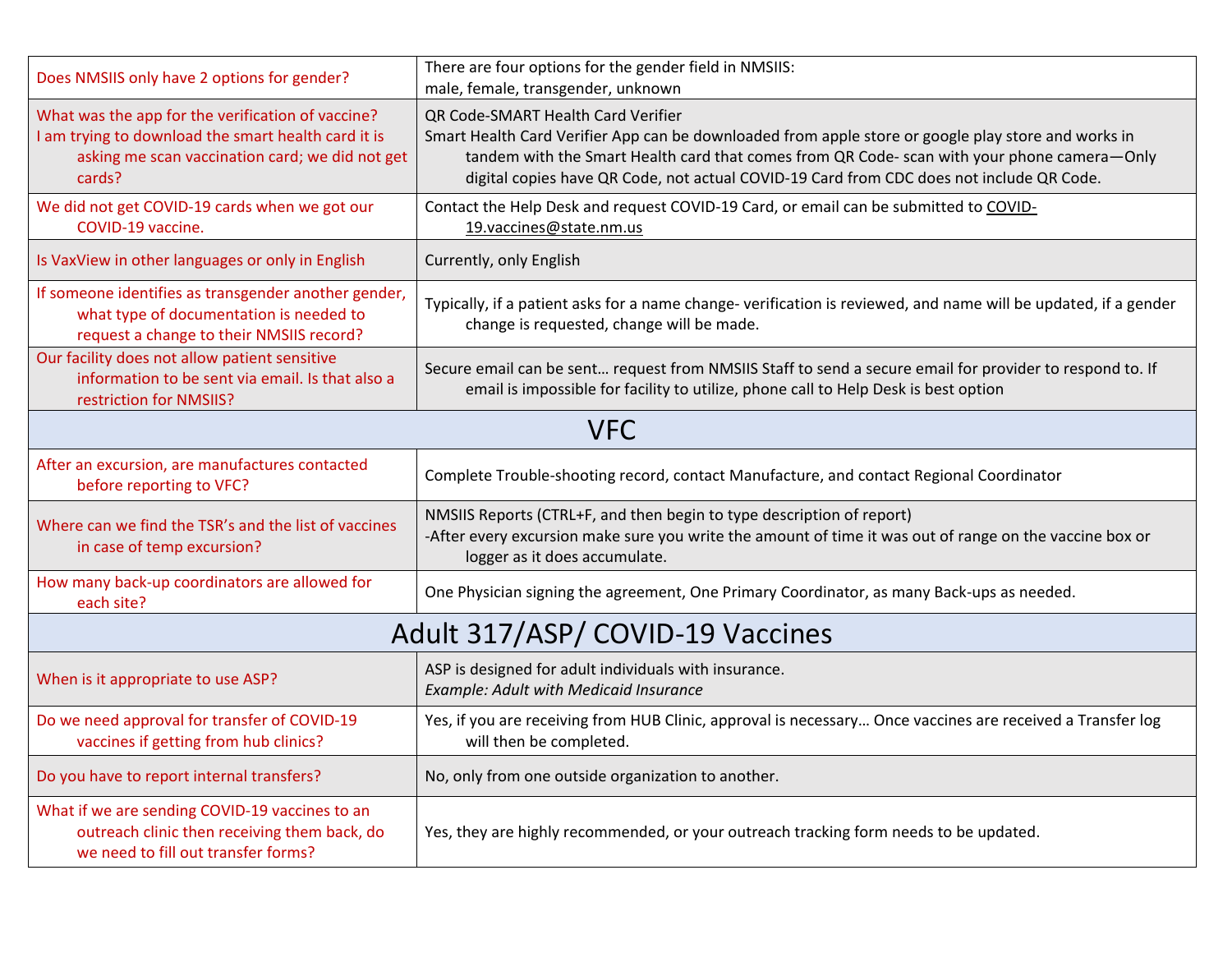| Does NMSIIS only have 2 options for gender?                                                                                                                           | There are four options for the gender field in NMSIIS:                                                                                                                                                                                                                                                                                                                     |  |  |  |
|-----------------------------------------------------------------------------------------------------------------------------------------------------------------------|----------------------------------------------------------------------------------------------------------------------------------------------------------------------------------------------------------------------------------------------------------------------------------------------------------------------------------------------------------------------------|--|--|--|
| What was the app for the verification of vaccine?<br>I am trying to download the smart health card it is<br>asking me scan vaccination card; we did not get<br>cards? | male, female, transgender, unknown<br>QR Code-SMART Health Card Verifier<br>Smart Health Card Verifier App can be downloaded from apple store or google play store and works in<br>tandem with the Smart Health card that comes from QR Code- scan with your phone camera-Only<br>digital copies have QR Code, not actual COVID-19 Card from CDC does not include QR Code. |  |  |  |
| We did not get COVID-19 cards when we got our<br>COVID-19 vaccine.                                                                                                    | Contact the Help Desk and request COVID-19 Card, or email can be submitted to COVID-<br>19.vaccines@state.nm.us                                                                                                                                                                                                                                                            |  |  |  |
| Is VaxView in other languages or only in English                                                                                                                      | Currently, only English                                                                                                                                                                                                                                                                                                                                                    |  |  |  |
| If someone identifies as transgender another gender,<br>what type of documentation is needed to<br>request a change to their NMSIIS record?                           | Typically, if a patient asks for a name change-verification is reviewed, and name will be updated, if a gender<br>change is requested, change will be made.                                                                                                                                                                                                                |  |  |  |
| Our facility does not allow patient sensitive<br>information to be sent via email. Is that also a<br>restriction for NMSIIS?                                          | Secure email can be sent request from NMSIIS Staff to send a secure email for provider to respond to. If<br>email is impossible for facility to utilize, phone call to Help Desk is best option                                                                                                                                                                            |  |  |  |
| <b>VFC</b>                                                                                                                                                            |                                                                                                                                                                                                                                                                                                                                                                            |  |  |  |
| After an excursion, are manufactures contacted<br>before reporting to VFC?                                                                                            | Complete Trouble-shooting record, contact Manufacture, and contact Regional Coordinator                                                                                                                                                                                                                                                                                    |  |  |  |
| Where can we find the TSR's and the list of vaccines<br>in case of temp excursion?                                                                                    | NMSIIS Reports (CTRL+F, and then begin to type description of report)<br>-After every excursion make sure you write the amount of time it was out of range on the vaccine box or<br>logger as it does accumulate.                                                                                                                                                          |  |  |  |
| How many back-up coordinators are allowed for<br>each site?                                                                                                           | One Physician signing the agreement, One Primary Coordinator, as many Back-ups as needed.                                                                                                                                                                                                                                                                                  |  |  |  |
| Adult 317/ASP/ COVID-19 Vaccines                                                                                                                                      |                                                                                                                                                                                                                                                                                                                                                                            |  |  |  |
| When is it appropriate to use ASP?                                                                                                                                    | ASP is designed for adult individuals with insurance.<br>Example: Adult with Medicaid Insurance                                                                                                                                                                                                                                                                            |  |  |  |
| Do we need approval for transfer of COVID-19<br>vaccines if getting from hub clinics?                                                                                 | Yes, if you are receiving from HUB Clinic, approval is necessary Once vaccines are received a Transfer log<br>will then be completed.                                                                                                                                                                                                                                      |  |  |  |
| Do you have to report internal transfers?                                                                                                                             | No, only from one outside organization to another.                                                                                                                                                                                                                                                                                                                         |  |  |  |
| What if we are sending COVID-19 vaccines to an<br>outreach clinic then receiving them back, do<br>we need to fill out transfer forms?                                 | Yes, they are highly recommended, or your outreach tracking form needs to be updated.                                                                                                                                                                                                                                                                                      |  |  |  |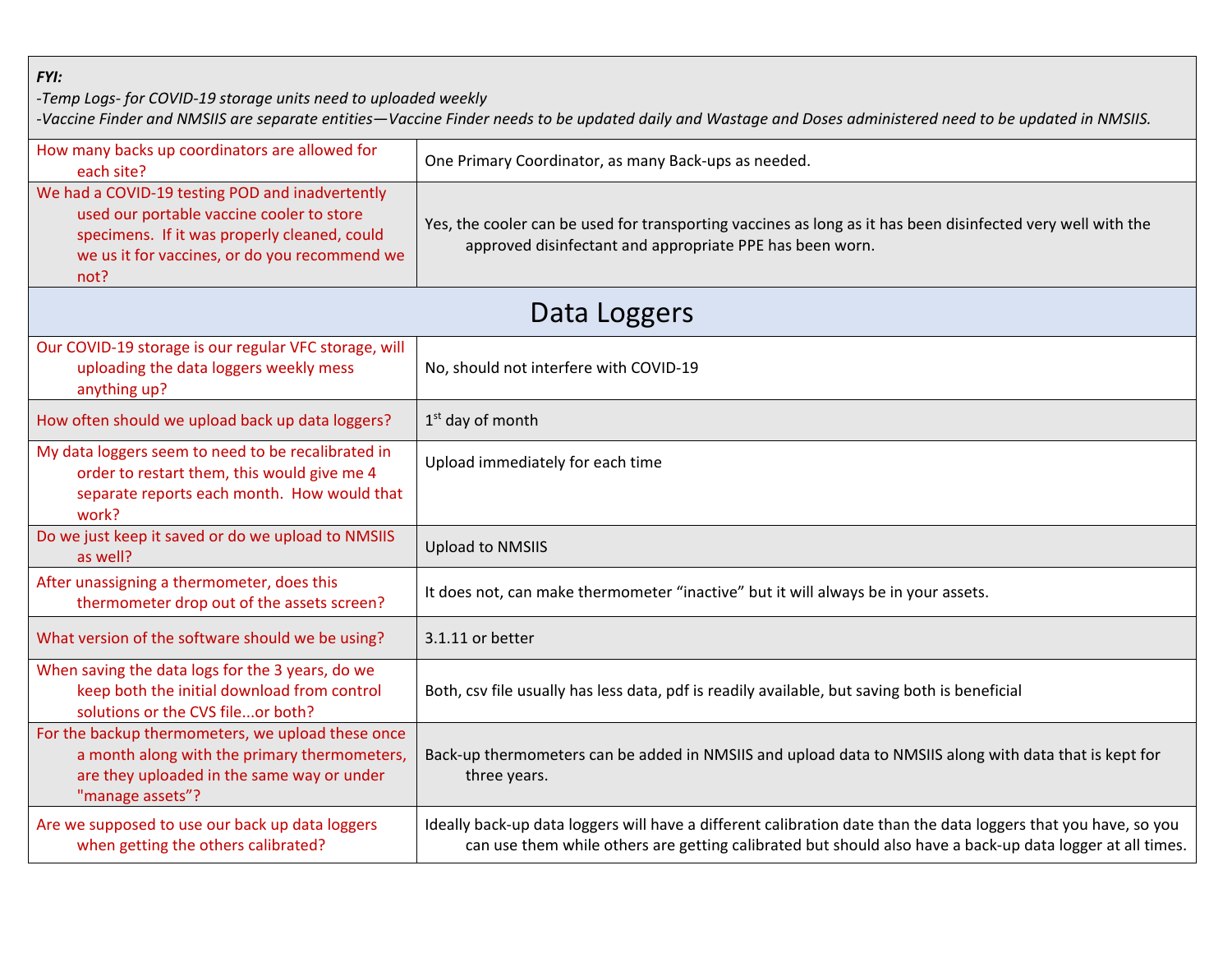*FYI:*

*-Temp Logs- for COVID-19 storage units need to uploaded weekly*

*-Vaccine Finder and NMSIIS are separate entities—Vaccine Finder needs to be updated daily and Wastage and Doses administered need to be updated in NMSIIS.*

| How many backs up coordinators are allowed for<br>each site?                                                                                                                                          | One Primary Coordinator, as many Back-ups as needed.                                                                                                                                                                         |  |  |  |
|-------------------------------------------------------------------------------------------------------------------------------------------------------------------------------------------------------|------------------------------------------------------------------------------------------------------------------------------------------------------------------------------------------------------------------------------|--|--|--|
| We had a COVID-19 testing POD and inadvertently<br>used our portable vaccine cooler to store<br>specimens. If it was properly cleaned, could<br>we us it for vaccines, or do you recommend we<br>not? | Yes, the cooler can be used for transporting vaccines as long as it has been disinfected very well with the<br>approved disinfectant and appropriate PPE has been worn.                                                      |  |  |  |
| Data Loggers                                                                                                                                                                                          |                                                                                                                                                                                                                              |  |  |  |
| Our COVID-19 storage is our regular VFC storage, will<br>uploading the data loggers weekly mess<br>anything up?                                                                                       | No, should not interfere with COVID-19                                                                                                                                                                                       |  |  |  |
| How often should we upload back up data loggers?                                                                                                                                                      | 1 <sup>st</sup> day of month                                                                                                                                                                                                 |  |  |  |
| My data loggers seem to need to be recalibrated in<br>order to restart them, this would give me 4<br>separate reports each month. How would that<br>work?                                             | Upload immediately for each time                                                                                                                                                                                             |  |  |  |
| Do we just keep it saved or do we upload to NMSIIS<br>as well?                                                                                                                                        | <b>Upload to NMSIIS</b>                                                                                                                                                                                                      |  |  |  |
| After unassigning a thermometer, does this<br>thermometer drop out of the assets screen?                                                                                                              | It does not, can make thermometer "inactive" but it will always be in your assets.                                                                                                                                           |  |  |  |
| What version of the software should we be using?                                                                                                                                                      | 3.1.11 or better                                                                                                                                                                                                             |  |  |  |
| When saving the data logs for the 3 years, do we<br>keep both the initial download from control<br>solutions or the CVS fileor both?                                                                  | Both, csv file usually has less data, pdf is readily available, but saving both is beneficial                                                                                                                                |  |  |  |
| For the backup thermometers, we upload these once<br>a month along with the primary thermometers,<br>are they uploaded in the same way or under<br>"manage assets"?                                   | Back-up thermometers can be added in NMSIIS and upload data to NMSIIS along with data that is kept for<br>three years.                                                                                                       |  |  |  |
| Are we supposed to use our back up data loggers<br>when getting the others calibrated?                                                                                                                | Ideally back-up data loggers will have a different calibration date than the data loggers that you have, so you<br>can use them while others are getting calibrated but should also have a back-up data logger at all times. |  |  |  |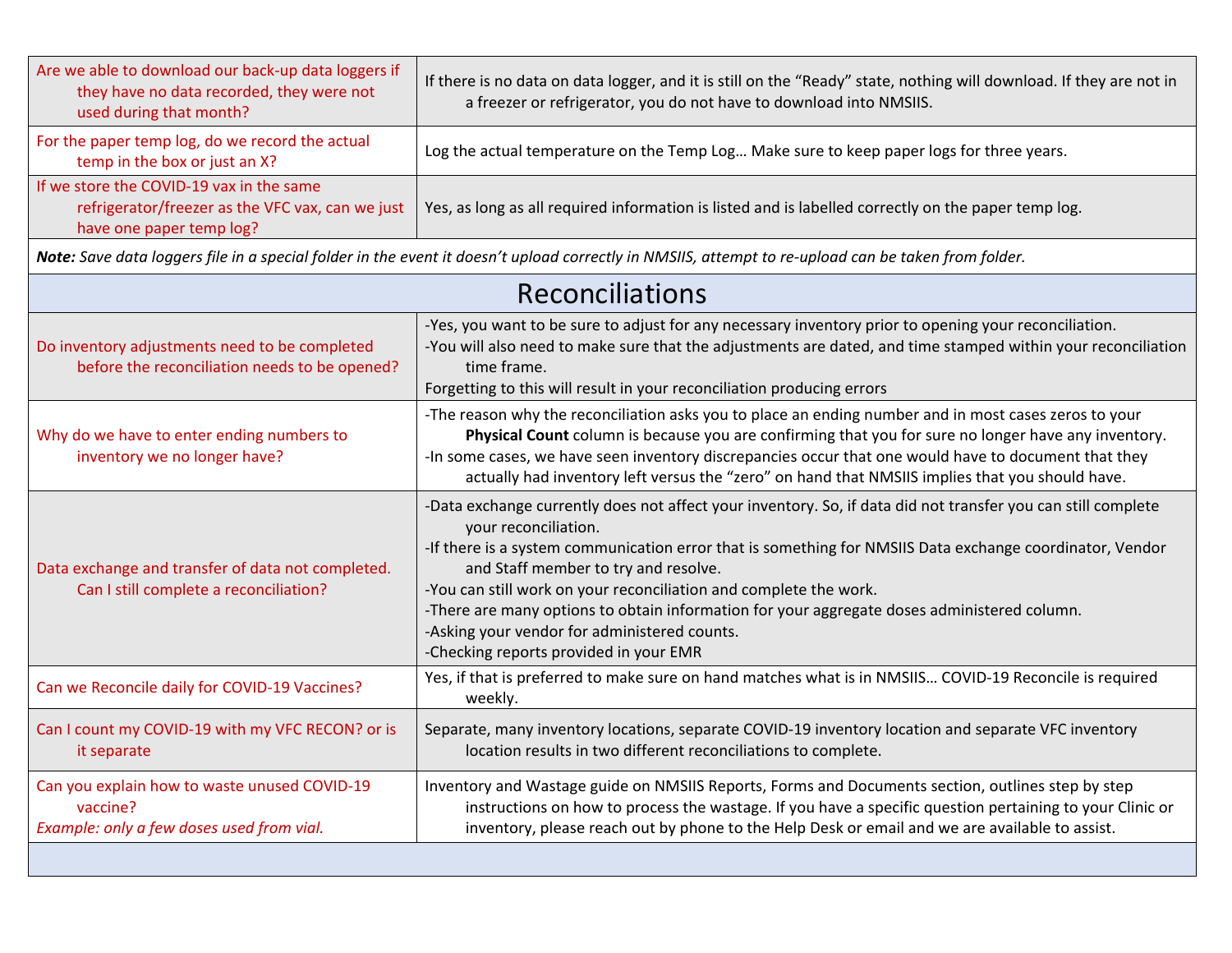| Are we able to download our back-up data loggers if<br>they have no data recorded, they were not<br>used during that month?                         | If there is no data on data logger, and it is still on the "Ready" state, nothing will download. If they are not in<br>a freezer or refrigerator, you do not have to download into NMSIIS.                                                                                                                                                                                                                                                                                                                                                             |  |  |  |
|-----------------------------------------------------------------------------------------------------------------------------------------------------|--------------------------------------------------------------------------------------------------------------------------------------------------------------------------------------------------------------------------------------------------------------------------------------------------------------------------------------------------------------------------------------------------------------------------------------------------------------------------------------------------------------------------------------------------------|--|--|--|
| For the paper temp log, do we record the actual<br>temp in the box or just an X?                                                                    | Log the actual temperature on the Temp Log Make sure to keep paper logs for three years.                                                                                                                                                                                                                                                                                                                                                                                                                                                               |  |  |  |
| If we store the COVID-19 vax in the same<br>refrigerator/freezer as the VFC vax, can we just<br>have one paper temp log?                            | Yes, as long as all required information is listed and is labelled correctly on the paper temp log.                                                                                                                                                                                                                                                                                                                                                                                                                                                    |  |  |  |
| Note: Save data loggers file in a special folder in the event it doesn't upload correctly in NMSIIS, attempt to re-upload can be taken from folder. |                                                                                                                                                                                                                                                                                                                                                                                                                                                                                                                                                        |  |  |  |
| <b>Reconciliations</b>                                                                                                                              |                                                                                                                                                                                                                                                                                                                                                                                                                                                                                                                                                        |  |  |  |
| Do inventory adjustments need to be completed<br>before the reconciliation needs to be opened?                                                      | -Yes, you want to be sure to adjust for any necessary inventory prior to opening your reconciliation.<br>-You will also need to make sure that the adjustments are dated, and time stamped within your reconciliation<br>time frame.<br>Forgetting to this will result in your reconciliation producing errors                                                                                                                                                                                                                                         |  |  |  |
| Why do we have to enter ending numbers to<br>inventory we no longer have?                                                                           | -The reason why the reconciliation asks you to place an ending number and in most cases zeros to your<br>Physical Count column is because you are confirming that you for sure no longer have any inventory.<br>-In some cases, we have seen inventory discrepancies occur that one would have to document that they<br>actually had inventory left versus the "zero" on hand that NMSIIS implies that you should have.                                                                                                                                |  |  |  |
| Data exchange and transfer of data not completed.<br>Can I still complete a reconciliation?                                                         | -Data exchange currently does not affect your inventory. So, if data did not transfer you can still complete<br>your reconciliation.<br>-If there is a system communication error that is something for NMSIIS Data exchange coordinator, Vendor<br>and Staff member to try and resolve.<br>-You can still work on your reconciliation and complete the work.<br>-There are many options to obtain information for your aggregate doses administered column.<br>-Asking your vendor for administered counts.<br>-Checking reports provided in your EMR |  |  |  |
| Can we Reconcile daily for COVID-19 Vaccines?                                                                                                       | Yes, if that is preferred to make sure on hand matches what is in NMSIIS COVID-19 Reconcile is required<br>weekly.                                                                                                                                                                                                                                                                                                                                                                                                                                     |  |  |  |
| Can I count my COVID-19 with my VFC RECON? or is<br>it separate                                                                                     | Separate, many inventory locations, separate COVID-19 inventory location and separate VFC inventory<br>location results in two different reconciliations to complete.                                                                                                                                                                                                                                                                                                                                                                                  |  |  |  |
| Can you explain how to waste unused COVID-19<br>vaccine?<br>Example: only a few doses used from vial.                                               | Inventory and Wastage guide on NMSIIS Reports, Forms and Documents section, outlines step by step<br>instructions on how to process the wastage. If you have a specific question pertaining to your Clinic or<br>inventory, please reach out by phone to the Help Desk or email and we are available to assist.                                                                                                                                                                                                                                        |  |  |  |
|                                                                                                                                                     |                                                                                                                                                                                                                                                                                                                                                                                                                                                                                                                                                        |  |  |  |